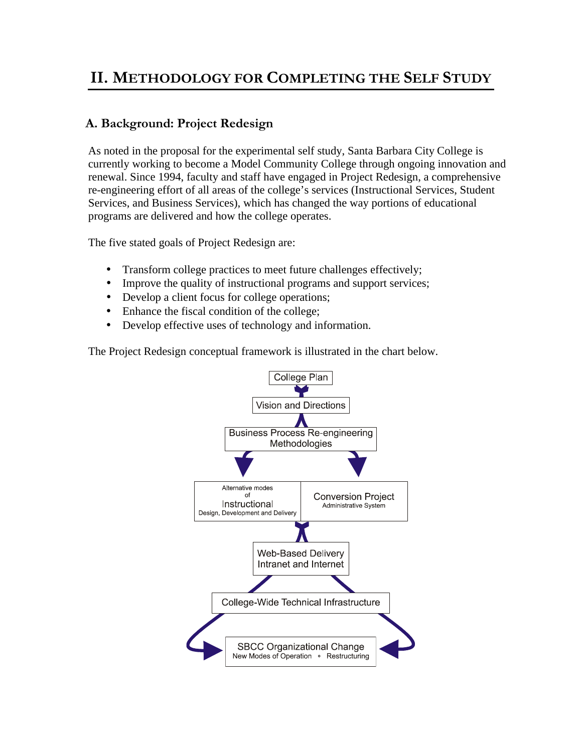## **II. METHODOLOGY FOR COMPLETING THE SELF STUDY**

## **A. Background: Project Redesign**

As noted in the proposal for the experimental self study, Santa Barbara City College is currently working to become a Model Community College through ongoing innovation and renewal. Since 1994, faculty and staff have engaged in Project Redesign, a comprehensive re-engineering effort of all areas of the college's services (Instructional Services, Student Services, and Business Services), which has changed the way portions of educational programs are delivered and how the college operates.

The five stated goals of Project Redesign are:

- Transform college practices to meet future challenges effectively;
- Improve the quality of instructional programs and support services;
- Develop a client focus for college operations;
- Enhance the fiscal condition of the college;
- Develop effective uses of technology and information.

The Project Redesign conceptual framework is illustrated in the chart below.

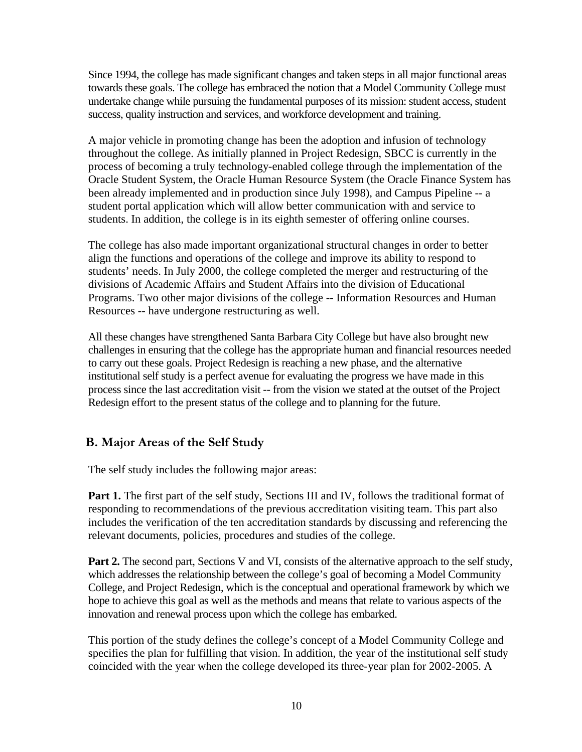Since 1994, the college has made significant changes and taken steps in all major functional areas towards these goals. The college has embraced the notion that a Model Community College must undertake change while pursuing the fundamental purposes of its mission: student access, student success, quality instruction and services, and workforce development and training.

A major vehicle in promoting change has been the adoption and infusion of technology throughout the college. As initially planned in Project Redesign, SBCC is currently in the process of becoming a truly technology-enabled college through the implementation of the Oracle Student System, the Oracle Human Resource System (the Oracle Finance System has been already implemented and in production since July 1998), and Campus Pipeline -- a student portal application which will allow better communication with and service to students. In addition, the college is in its eighth semester of offering online courses.

The college has also made important organizational structural changes in order to better align the functions and operations of the college and improve its ability to respond to students' needs. In July 2000, the college completed the merger and restructuring of the divisions of Academic Affairs and Student Affairs into the division of Educational Programs. Two other major divisions of the college -- Information Resources and Human Resources -- have undergone restructuring as well.

All these changes have strengthened Santa Barbara City College but have also brought new challenges in ensuring that the college has the appropriate human and financial resources needed to carry out these goals. Project Redesign is reaching a new phase, and the alternative institutional self study is a perfect avenue for evaluating the progress we have made in this process since the last accreditation visit -- from the vision we stated at the outset of the Project Redesign effort to the present status of the college and to planning for the future.

## **B. Major Areas of the Self Study**

The self study includes the following major areas:

Part 1. The first part of the self study, Sections III and IV, follows the traditional format of responding to recommendations of the previous accreditation visiting team. This part also includes the verification of the ten accreditation standards by discussing and referencing the relevant documents, policies, procedures and studies of the college.

**Part 2.** The second part, Sections V and VI, consists of the alternative approach to the self study, which addresses the relationship between the college's goal of becoming a Model Community College, and Project Redesign, which is the conceptual and operational framework by which we hope to achieve this goal as well as the methods and means that relate to various aspects of the innovation and renewal process upon which the college has embarked.

This portion of the study defines the college's concept of a Model Community College and specifies the plan for fulfilling that vision. In addition, the year of the institutional self study coincided with the year when the college developed its three-year plan for 2002-2005. A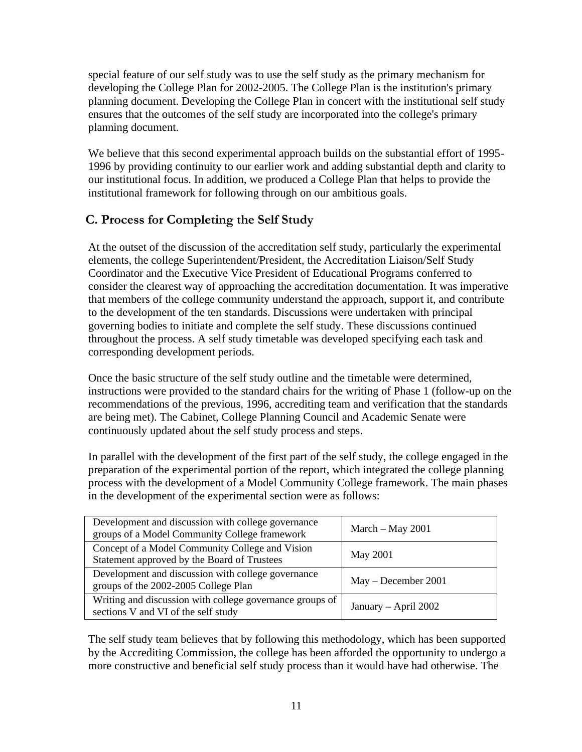special feature of our self study was to use the self study as the primary mechanism for developing the College Plan for 2002-2005. The College Plan is the institution's primary planning document. Developing the College Plan in concert with the institutional self study ensures that the outcomes of the self study are incorporated into the college's primary planning document.

We believe that this second experimental approach builds on the substantial effort of 1995- 1996 by providing continuity to our earlier work and adding substantial depth and clarity to our institutional focus. In addition, we produced a College Plan that helps to provide the institutional framework for following through on our ambitious goals.

## **C. Process for Completing the Self Study**

At the outset of the discussion of the accreditation self study, particularly the experimental elements, the college Superintendent/President, the Accreditation Liaison/Self Study Coordinator and the Executive Vice President of Educational Programs conferred to consider the clearest way of approaching the accreditation documentation. It was imperative that members of the college community understand the approach, support it, and contribute to the development of the ten standards. Discussions were undertaken with principal governing bodies to initiate and complete the self study. These discussions continued throughout the process. A self study timetable was developed specifying each task and corresponding development periods.

Once the basic structure of the self study outline and the timetable were determined, instructions were provided to the standard chairs for the writing of Phase 1 (follow-up on the recommendations of the previous, 1996, accrediting team and verification that the standards are being met). The Cabinet, College Planning Council and Academic Senate were continuously updated about the self study process and steps.

In parallel with the development of the first part of the self study, the college engaged in the preparation of the experimental portion of the report, which integrated the college planning process with the development of a Model Community College framework. The main phases in the development of the experimental section were as follows:

| Development and discussion with college governance<br>groups of a Model Community College framework | March $-$ May 2001   |
|-----------------------------------------------------------------------------------------------------|----------------------|
| Concept of a Model Community College and Vision<br>Statement approved by the Board of Trustees      | May 2001             |
| Development and discussion with college governance<br>groups of the 2002-2005 College Plan          | May - December 2001  |
| Writing and discussion with college governance groups of<br>sections V and VI of the self study     | January - April 2002 |

The self study team believes that by following this methodology, which has been supported by the Accrediting Commission, the college has been afforded the opportunity to undergo a more constructive and beneficial self study process than it would have had otherwise. The